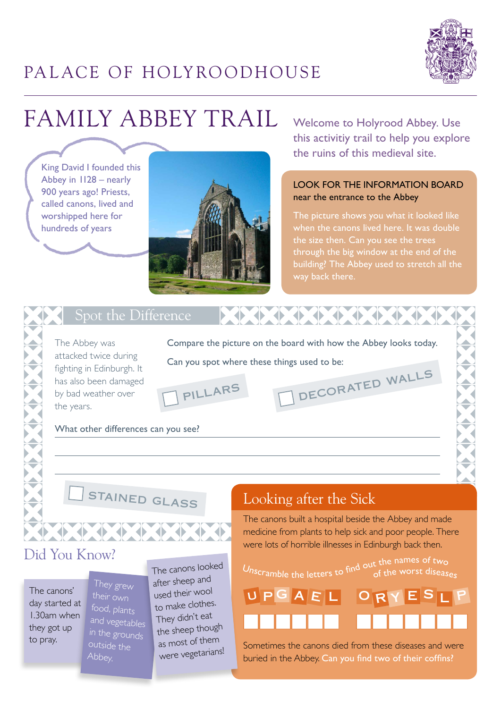

# PALACE OF HOLYROODHOUSE

# Family ABBEY Trail

King David I founded this Abbey in 1128 – nearly 900 years ago! Priests, called canons, lived and worshipped here for hundreds of years



Welcome to Holyrood Abbey. Use this activitiy trail to help you explore the ruins of this medieval site.

#### LOOK FOR THE INFORMATION BOARD near the entrance to the Abbey

The picture shows you what it looked like when the canons lived here. It was double the size then. Can you see the trees through the big window at the end of the building? The Abbey used to stretch all the way back there.

#### Spot the Difference

The Abbey was attacked twice during fighting in Edinburgh. It has also been damaged by bad weather over the years.

Compare the picture on the board with how the Abbey looks today. Can you spot where these things used to be: decorated walls



What other differences can you see?

stained glass

#### Did You Know?

The canons' day started at 1.30am when they got up to pray.

They grew food, plants and vegetables in the grounds outside the Abbey.

The canons looked after sheep an<sup>d</sup> used their woo<sup>l</sup> to make clothes. They didn't eat the sheep though as most of them were vegetarians!

#### Looking after the Sick

U P G A E L O R

The canons built a hospital beside the Abbey and made medicine from plants to help sick and poor people. There were lots of horrible illnesses in Edinburgh back then.

Unscramble the letters to find out the names of two<br>of the worst disease<sub>s</sub>

RYESLP

Sometimes the canons died from these diseases and were buried in the Abbey. Can you find two of their coffins?